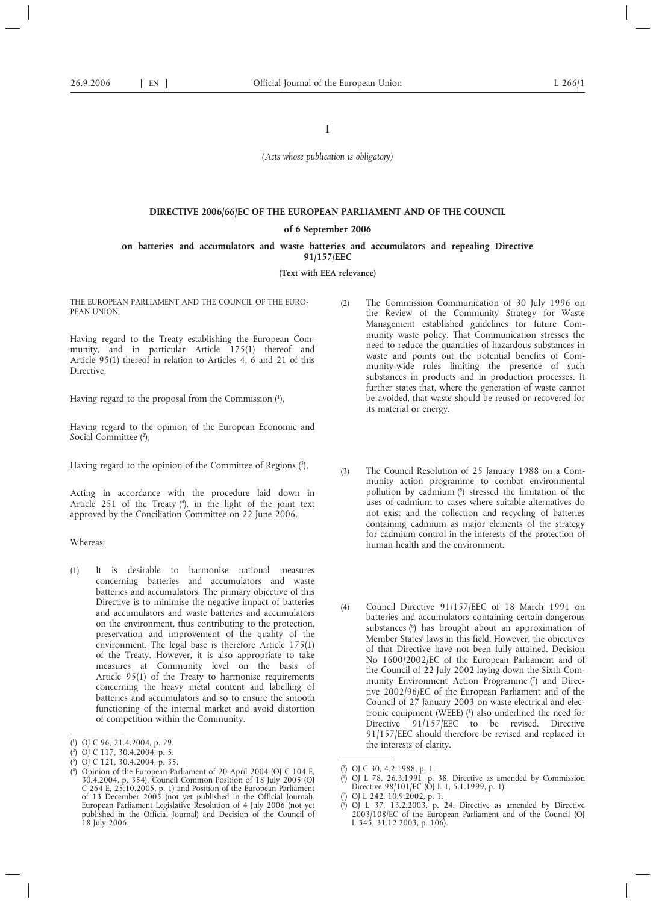I

*(Acts whose publication is obligatory)*

# **DIRECTIVE 2006/66/EC OF THE EUROPEAN PARLIAMENT AND OF THE COUNCIL of 6 September 2006 on batteries and accumulators and waste batteries and accumulators and repealing Directive**

**91/157/EEC**

### **(Text with EEA relevance)**

THE EUROPEAN PARLIAMENT AND THE COUNCIL OF THE EURO-PEAN UNION,

Having regard to the Treaty establishing the European Community, and in particular Article 175(1) thereof and Article 95(1) thereof in relation to Articles 4, 6 and 21 of this Directive,

Having regard to the proposal from the Commission (1 ),

Having regard to the opinion of the European Economic and Social Committee (2),

Having regard to the opinion of the Committee of Regions (3 ),

Acting in accordance with the procedure laid down in Article 251 of the Treaty (<sup>4</sup>), in the light of the joint text approved by the Conciliation Committee on 22 June 2006,

# Whereas:

(1) It is desirable to harmonise national measures concerning batteries and accumulators and waste batteries and accumulators. The primary objective of this Directive is to minimise the negative impact of batteries and accumulators and waste batteries and accumulators on the environment, thus contributing to the protection, preservation and improvement of the quality of the environment. The legal base is therefore Article 175(1) of the Treaty. However, it is also appropriate to take measures at Community level on the basis of Article 95(1) of the Treaty to harmonise requirements concerning the heavy metal content and labelling of batteries and accumulators and so to ensure the smooth functioning of the internal market and avoid distortion of competition within the Community.

- (2) The Commission Communication of 30 July 1996 on the Review of the Community Strategy for Waste Management established guidelines for future Community waste policy. That Communication stresses the need to reduce the quantities of hazardous substances in waste and points out the potential benefits of Community-wide rules limiting the presence of such substances in products and in production processes. It further states that, where the generation of waste cannot be avoided, that waste should be reused or recovered for its material or energy.
- (3) The Council Resolution of 25 January 1988 on a Community action programme to combat environmental pollution by cadmium  $(5)$  stressed the limitation of the uses of cadmium to cases where suitable alternatives do not exist and the collection and recycling of batteries containing cadmium as major elements of the strategy for cadmium control in the interests of the protection of human health and the environment.
- (4) Council Directive 91/157/EEC of 18 March 1991 on batteries and accumulators containing certain dangerous substances (<sup>6</sup>) has brought about an approximation of Member States' laws in this field. However, the objectives of that Directive have not been fully attained. Decision No 1600/2002/EC of the European Parliament and of the Council of 22 July 2002 laying down the Sixth Community Environment Action Programme (7) and Directive 2002/96/EC of the European Parliament and of the Council of 27 January 2003 on waste electrical and electronic equipment (WEEE) (<sup>8</sup>) also underlined the need for Directive 91/157/EEC to be revised. Directive 91/157/EEC should therefore be revised and replaced in the interests of clarity.

<sup>(</sup> 1 ) OJ C 96, 21.4.2004, p. 29.

<sup>(</sup> 2 ) OJ C 117, 30.4.2004, p. 5.

<sup>(</sup> 3 ) OJ C 121, 30.4.2004, p. 35.

<sup>(</sup> 4 ) Opinion of the European Parliament of 20 April 2004 (OJ C 104 E, 30.4.2004, p. 354), Council Common Position of 18 July 2005 (OJ C 264 E, 25.10.2005, p. 1) and Position of the European Parliament of 13 December 2005 (not yet published in the Official Journal). European Parliament Legislative Resolution of 4 July 2006 (not yet published in the Official Journal) and Decision of the Council of 18 July 2006.

<sup>(</sup> 5 ) OJ C 30, 4.2.1988, p. 1.

<sup>(</sup> 6 ) OJ L 78, 26.3.1991, p. 38. Directive as amended by Commission Directive 98/101/EC (OJ L 1, 5.1.1999, p. 1).

<sup>(</sup> 7 ) OJ L 242, 10.9.2002, p. 1.

<sup>(</sup> 8 ) OJ L 37, 13.2.2003, p. 24. Directive as amended by Directive 2003/108/EC of the European Parliament and of the Council (OJ L 345, 31.12.2003, p. 106).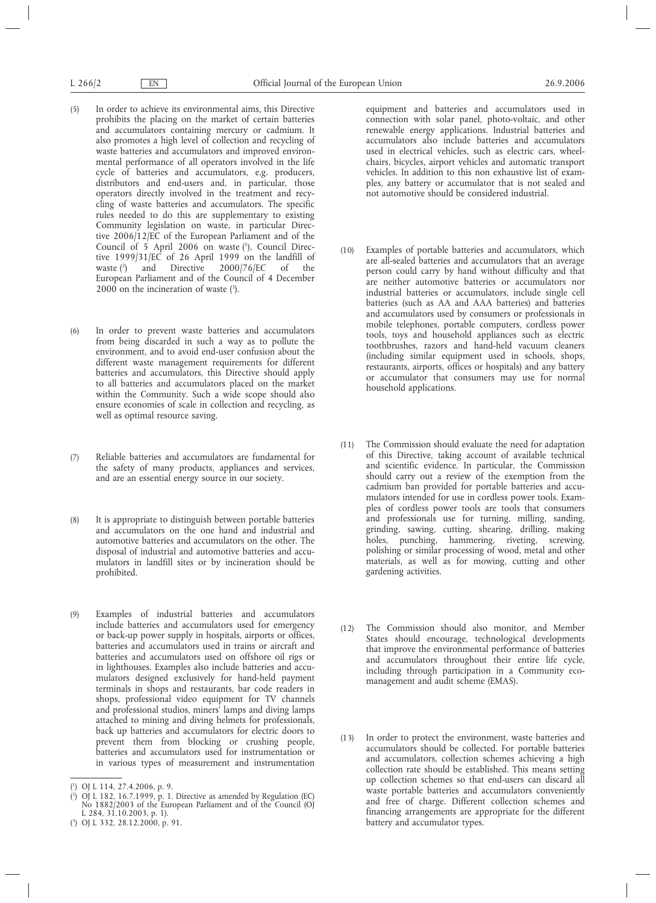- (5) In order to achieve its environmental aims, this Directive prohibits the placing on the market of certain batteries and accumulators containing mercury or cadmium. It also promotes a high level of collection and recycling of waste batteries and accumulators and improved environmental performance of all operators involved in the life cycle of batteries and accumulators, e.g. producers, distributors and end-users and, in particular, those operators directly involved in the treatment and recycling of waste batteries and accumulators. The specific rules needed to do this are supplementary to existing Community legislation on waste, in particular Directive 2006/12/EC of the European Parliament and of the Council of 5 April 2006 on waste (1), Council Directive 1999/31/EC of 26 April 1999 on the landfill of waste  $\binom{2}{1}$  and Directive 2000/76/EC of the waste  $(2)$ 2000/76/EC of the European Parliament and of the Council of 4 December 2000 on the incineration of waste  $(3)$ .
- (6) In order to prevent waste batteries and accumulators from being discarded in such a way as to pollute the environment, and to avoid end-user confusion about the different waste management requirements for different batteries and accumulators, this Directive should apply to all batteries and accumulators placed on the market within the Community. Such a wide scope should also ensure economies of scale in collection and recycling, as well as optimal resource saving.
- (7) Reliable batteries and accumulators are fundamental for the safety of many products, appliances and services, and are an essential energy source in our society.
- (8) It is appropriate to distinguish between portable batteries and accumulators on the one hand and industrial and automotive batteries and accumulators on the other. The disposal of industrial and automotive batteries and accumulators in landfill sites or by incineration should be prohibited.
- (9) Examples of industrial batteries and accumulators include batteries and accumulators used for emergency or back-up power supply in hospitals, airports or offices, batteries and accumulators used in trains or aircraft and batteries and accumulators used on offshore oil rigs or in lighthouses. Examples also include batteries and accumulators designed exclusively for hand-held payment terminals in shops and restaurants, bar code readers in shops, professional video equipment for TV channels and professional studios, miners' lamps and diving lamps attached to mining and diving helmets for professionals, back up batteries and accumulators for electric doors to prevent them from blocking or crushing people, batteries and accumulators used for instrumentation or in various types of measurement and instrumentation

equipment and batteries and accumulators used in connection with solar panel, photo-voltaic, and other renewable energy applications. Industrial batteries and accumulators also include batteries and accumulators used in electrical vehicles, such as electric cars, wheelchairs, bicycles, airport vehicles and automatic transport vehicles. In addition to this non exhaustive list of examples, any battery or accumulator that is not sealed and not automotive should be considered industrial.

- (10) Examples of portable batteries and accumulators, which are all-sealed batteries and accumulators that an average person could carry by hand without difficulty and that are neither automotive batteries or accumulators nor industrial batteries or accumulators, include single cell batteries (such as AA and AAA batteries) and batteries and accumulators used by consumers or professionals in mobile telephones, portable computers, cordless power tools, toys and household appliances such as electric toothbrushes, razors and hand-held vacuum cleaners (including similar equipment used in schools, shops, restaurants, airports, offices or hospitals) and any battery or accumulator that consumers may use for normal household applications.
- (11) The Commission should evaluate the need for adaptation of this Directive, taking account of available technical and scientific evidence. In particular, the Commission should carry out a review of the exemption from the cadmium ban provided for portable batteries and accumulators intended for use in cordless power tools. Examples of cordless power tools are tools that consumers and professionals use for turning, milling, sanding, grinding, sawing, cutting, shearing, drilling, making holes, punching, hammering, riveting, screwing, polishing or similar processing of wood, metal and other materials, as well as for mowing, cutting and other gardening activities.
- (12) The Commission should also monitor, and Member States should encourage, technological developments that improve the environmental performance of batteries and accumulators throughout their entire life cycle, including through participation in a Community ecomanagement and audit scheme (EMAS).
- (13) In order to protect the environment, waste batteries and accumulators should be collected. For portable batteries and accumulators, collection schemes achieving a high collection rate should be established. This means setting up collection schemes so that end-users can discard all waste portable batteries and accumulators conveniently and free of charge. Different collection schemes and financing arrangements are appropriate for the different battery and accumulator types.

<sup>(</sup> 1 ) OJ L 114, 27.4.2006, p. 9.

<sup>(</sup> 2 ) OJ L 182, 16.7.1999, p. 1. Directive as amended by Regulation (EC) No 1882/2003 of the European Parliament and of the Council (OJ L 284, 31.10.2003, p. 1).

<sup>(</sup> 3 ) OJ L 332, 28.12.2000, p. 91.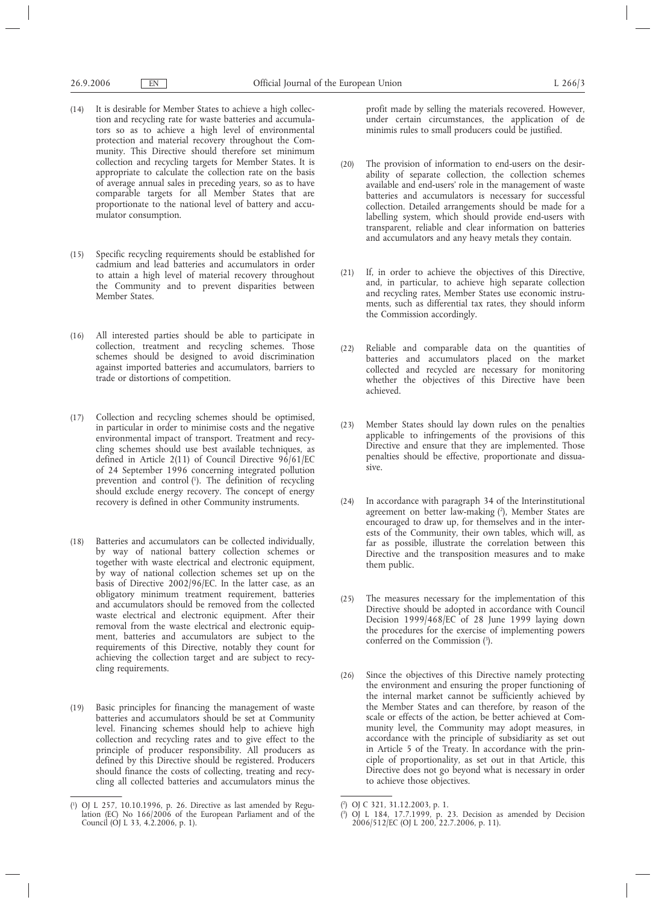- (14) It is desirable for Member States to achieve a high collection and recycling rate for waste batteries and accumulators so as to achieve a high level of environmental protection and material recovery throughout the Community. This Directive should therefore set minimum collection and recycling targets for Member States. It is appropriate to calculate the collection rate on the basis of average annual sales in preceding years, so as to have comparable targets for all Member States that are proportionate to the national level of battery and accumulator consumption.
- (15) Specific recycling requirements should be established for cadmium and lead batteries and accumulators in order to attain a high level of material recovery throughout the Community and to prevent disparities between Member States.
- (16) All interested parties should be able to participate in collection, treatment and recycling schemes. Those schemes should be designed to avoid discrimination against imported batteries and accumulators, barriers to trade or distortions of competition.
- (17) Collection and recycling schemes should be optimised, in particular in order to minimise costs and the negative environmental impact of transport. Treatment and recycling schemes should use best available techniques, as defined in Article 2(11) of Council Directive 96/61/EC of 24 September 1996 concerning integrated pollution prevention and control (1 ). The definition of recycling should exclude energy recovery. The concept of energy recovery is defined in other Community instruments.
- (18) Batteries and accumulators can be collected individually, by way of national battery collection schemes or together with waste electrical and electronic equipment, by way of national collection schemes set up on the basis of Directive 2002/96/EC. In the latter case, as an obligatory minimum treatment requirement, batteries and accumulators should be removed from the collected waste electrical and electronic equipment. After their removal from the waste electrical and electronic equipment, batteries and accumulators are subject to the requirements of this Directive, notably they count for achieving the collection target and are subject to recycling requirements.
- (19) Basic principles for financing the management of waste batteries and accumulators should be set at Community level. Financing schemes should help to achieve high collection and recycling rates and to give effect to the principle of producer responsibility. All producers as defined by this Directive should be registered. Producers should finance the costs of collecting, treating and recycling all collected batteries and accumulators minus the

profit made by selling the materials recovered. However, under certain circumstances, the application of de minimis rules to small producers could be justified.

- (20) The provision of information to end-users on the desirability of separate collection, the collection schemes available and end-users' role in the management of waste batteries and accumulators is necessary for successful collection. Detailed arrangements should be made for a labelling system, which should provide end-users with transparent, reliable and clear information on batteries and accumulators and any heavy metals they contain.
- (21) If, in order to achieve the objectives of this Directive, and, in particular, to achieve high separate collection and recycling rates, Member States use economic instruments, such as differential tax rates, they should inform the Commission accordingly.
- (22) Reliable and comparable data on the quantities of batteries and accumulators placed on the market collected and recycled are necessary for monitoring whether the objectives of this Directive have been achieved.
- (23) Member States should lay down rules on the penalties applicable to infringements of the provisions of this Directive and ensure that they are implemented. Those penalties should be effective, proportionate and dissuasive.
- (24) In accordance with paragraph 34 of the Interinstitutional agreement on better law-making  $(2)$ , Member States are encouraged to draw up, for themselves and in the interests of the Community, their own tables, which will, as far as possible, illustrate the correlation between this Directive and the transposition measures and to make them public.
- (25) The measures necessary for the implementation of this Directive should be adopted in accordance with Council Decision 1999/468/EC of 28 June 1999 laying down the procedures for the exercise of implementing powers conferred on the Commission  $(3)$ .
- (26) Since the objectives of this Directive namely protecting the environment and ensuring the proper functioning of the internal market cannot be sufficiently achieved by the Member States and can therefore, by reason of the scale or effects of the action, be better achieved at Community level, the Community may adopt measures, in accordance with the principle of subsidiarity as set out in Article 5 of the Treaty. In accordance with the principle of proportionality, as set out in that Article, this Directive does not go beyond what is necessary in order to achieve those objectives.

<sup>(</sup> 1 ) OJ L 257, 10.10.1996, p. 26. Directive as last amended by Regulation (EC) No 166/2006 of the European Parliament and of the Council (OJ L 33, 4.2.2006, p. 1).

<sup>(</sup> 2 ) OJ C 321, 31.12.2003, p. 1.

<sup>(</sup> 3 ) OJ L 184, 17.7.1999, p. 23. Decision as amended by Decision 2006/512/EC (OJ L 200, 22.7.2006, p. 11).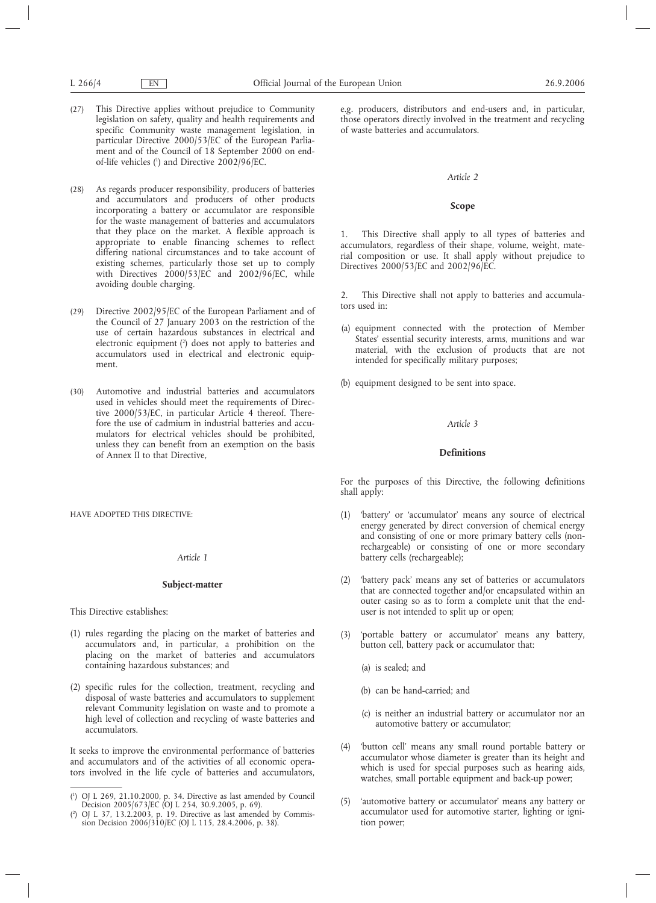- (27) This Directive applies without prejudice to Community legislation on safety, quality and health requirements and specific Community waste management legislation, in particular Directive 2000/53/EC of the European Parliament and of the Council of 18 September 2000 on endof-life vehicles (1 ) and Directive 2002/96/EC.
- (28) As regards producer responsibility, producers of batteries and accumulators and producers of other products incorporating a battery or accumulator are responsible for the waste management of batteries and accumulators that they place on the market. A flexible approach is appropriate to enable financing schemes to reflect differing national circumstances and to take account of existing schemes, particularly those set up to comply with Directives 2000/53/EC and 2002/96/EC, while avoiding double charging.
- (29) Directive 2002/95/EC of the European Parliament and of the Council of 27 January 2003 on the restriction of the use of certain hazardous substances in electrical and electronic equipment (2 ) does not apply to batteries and accumulators used in electrical and electronic equipment.
- (30) Automotive and industrial batteries and accumulators used in vehicles should meet the requirements of Directive 2000/53/EC, in particular Article 4 thereof. Therefore the use of cadmium in industrial batteries and accumulators for electrical vehicles should be prohibited, unless they can benefit from an exemption on the basis of Annex II to that Directive,

HAVE ADOPTED THIS DIRECTIVE:

#### *Article 1*

# **Subject-matter**

This Directive establishes:

- (1) rules regarding the placing on the market of batteries and accumulators and, in particular, a prohibition on the placing on the market of batteries and accumulators containing hazardous substances; and
- (2) specific rules for the collection, treatment, recycling and disposal of waste batteries and accumulators to supplement relevant Community legislation on waste and to promote a high level of collection and recycling of waste batteries and accumulators.

It seeks to improve the environmental performance of batteries and accumulators and of the activities of all economic operators involved in the life cycle of batteries and accumulators, e.g. producers, distributors and end-users and, in particular, those operators directly involved in the treatment and recycling of waste batteries and accumulators.

# *Article 2*

#### **Scope**

1. This Directive shall apply to all types of batteries and accumulators, regardless of their shape, volume, weight, material composition or use. It shall apply without prejudice to Directives 2000/53/EC and 2002/96/EC.

2. This Directive shall not apply to batteries and accumulators used in:

(a) equipment connected with the protection of Member States' essential security interests, arms, munitions and war material, with the exclusion of products that are not intended for specifically military purposes;

(b) equipment designed to be sent into space.

# *Article 3*

# **Definitions**

For the purposes of this Directive, the following definitions shall apply:

- (1) 'battery' or 'accumulator' means any source of electrical energy generated by direct conversion of chemical energy and consisting of one or more primary battery cells (nonrechargeable) or consisting of one or more secondary battery cells (rechargeable);
- (2) 'battery pack' means any set of batteries or accumulators that are connected together and/or encapsulated within an outer casing so as to form a complete unit that the enduser is not intended to split up or open;
- (3) 'portable battery or accumulator' means any battery, button cell, battery pack or accumulator that:
	- (a) is sealed; and
	- (b) can be hand-carried; and
	- (c) is neither an industrial battery or accumulator nor an automotive battery or accumulator;
- (4) 'button cell' means any small round portable battery or accumulator whose diameter is greater than its height and which is used for special purposes such as hearing aids, watches, small portable equipment and back-up power;
- (5) 'automotive battery or accumulator' means any battery or accumulator used for automotive starter, lighting or ignition power;

 $($ <sup>1</sup> ) OJ L 269, 21.10.2000, p. 34. Directive as last amended by Council Decision 2005/673/EC (OJ L 254, 30.9.2005, p. 69).

<sup>(</sup> 2 ) OJ L 37, 13.2.2003, p. 19. Directive as last amended by Commission Decision 2006/310/EC (OJ L 115, 28.4.2006, p. 38).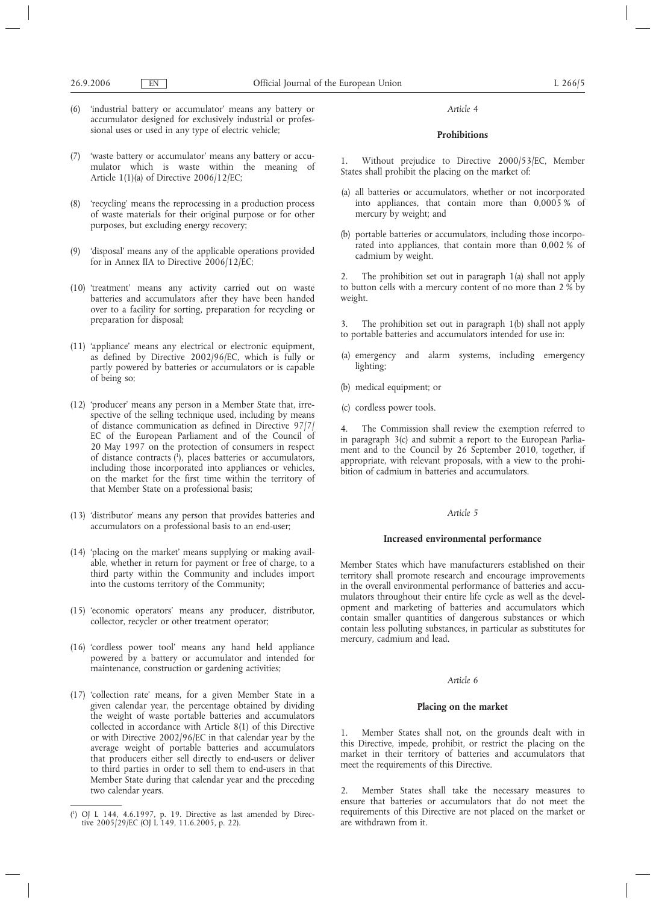- (6) 'industrial battery or accumulator' means any battery or accumulator designed for exclusively industrial or professional uses or used in any type of electric vehicle;
- (7) 'waste battery or accumulator' means any battery or accumulator which is waste within the meaning of Article 1(1)(a) of Directive 2006/12/EC;
- (8) 'recycling' means the reprocessing in a production process of waste materials for their original purpose or for other purposes, but excluding energy recovery;
- (9) 'disposal' means any of the applicable operations provided for in Annex IIA to Directive 2006/12/EC;
- (10) 'treatment' means any activity carried out on waste batteries and accumulators after they have been handed over to a facility for sorting, preparation for recycling or preparation for disposal;
- (11) 'appliance' means any electrical or electronic equipment, as defined by Directive 2002/96/EC, which is fully or partly powered by batteries or accumulators or is capable of being so;
- (12) 'producer' means any person in a Member State that, irrespective of the selling technique used, including by means of distance communication as defined in Directive 97/7/ EC of the European Parliament and of the Council of 20 May 1997 on the protection of consumers in respect of distance contracts (1 ), places batteries or accumulators, including those incorporated into appliances or vehicles, on the market for the first time within the territory of that Member State on a professional basis;
- (13) 'distributor' means any person that provides batteries and accumulators on a professional basis to an end-user;
- (14) 'placing on the market' means supplying or making available, whether in return for payment or free of charge, to a third party within the Community and includes import into the customs territory of the Community;
- (15) 'economic operators' means any producer, distributor, collector, recycler or other treatment operator;
- (16) 'cordless power tool' means any hand held appliance powered by a battery or accumulator and intended for maintenance, construction or gardening activities;
- (17) 'collection rate' means, for a given Member State in a given calendar year, the percentage obtained by dividing the weight of waste portable batteries and accumulators collected in accordance with Article 8(1) of this Directive or with Directive 2002/96/EC in that calendar year by the average weight of portable batteries and accumulators that producers either sell directly to end-users or deliver to third parties in order to sell them to end-users in that Member State during that calendar year and the preceding two calendar years.

# **Prohibitions**

Without prejudice to Directive 2000/53/EC, Member States shall prohibit the placing on the market of:

- (a) all batteries or accumulators, whether or not incorporated into appliances, that contain more than 0,0005 % of mercury by weight; and
- (b) portable batteries or accumulators, including those incorporated into appliances, that contain more than 0,002 % of cadmium by weight.

2. The prohibition set out in paragraph 1(a) shall not apply to button cells with a mercury content of no more than 2 % by weight.

3. The prohibition set out in paragraph 1(b) shall not apply to portable batteries and accumulators intended for use in:

- (a) emergency and alarm systems, including emergency lighting;
- (b) medical equipment; or
- (c) cordless power tools.

4. The Commission shall review the exemption referred to in paragraph 3(c) and submit a report to the European Parliament and to the Council by 26 September 2010, together, if appropriate, with relevant proposals, with a view to the prohibition of cadmium in batteries and accumulators.

# *Article 5*

# **Increased environmental performance**

Member States which have manufacturers established on their territory shall promote research and encourage improvements in the overall environmental performance of batteries and accumulators throughout their entire life cycle as well as the development and marketing of batteries and accumulators which contain smaller quantities of dangerous substances or which contain less polluting substances, in particular as substitutes for mercury, cadmium and lead.

### *Article 6*

# **Placing on the market**

Member States shall not, on the grounds dealt with in this Directive, impede, prohibit, or restrict the placing on the market in their territory of batteries and accumulators that meet the requirements of this Directive.

2. Member States shall take the necessary measures to ensure that batteries or accumulators that do not meet the requirements of this Directive are not placed on the market or are withdrawn from it.

<sup>(</sup> 1 ) OJ L 144, 4.6.1997, p. 19. Directive as last amended by Directive 2005/29/EC (OJ L 149, 11.6.2005, p. 22).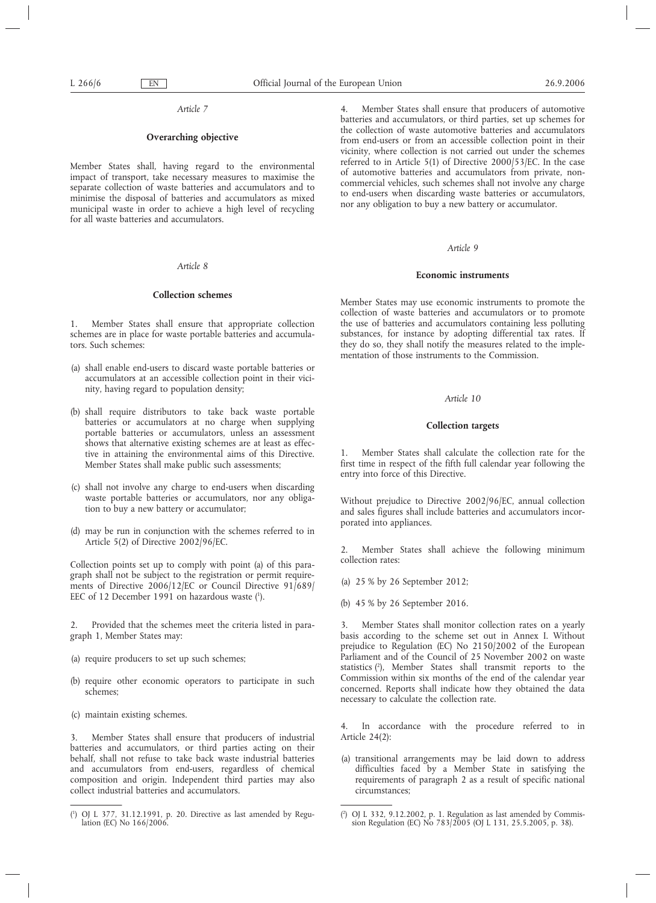# **Overarching objective**

Member States shall, having regard to the environmental impact of transport, take necessary measures to maximise the separate collection of waste batteries and accumulators and to minimise the disposal of batteries and accumulators as mixed municipal waste in order to achieve a high level of recycling for all waste batteries and accumulators.

# *Article 8*

#### **Collection schemes**

1. Member States shall ensure that appropriate collection schemes are in place for waste portable batteries and accumulators. Such schemes:

- (a) shall enable end-users to discard waste portable batteries or accumulators at an accessible collection point in their vicinity, having regard to population density;
- (b) shall require distributors to take back waste portable batteries or accumulators at no charge when supplying portable batteries or accumulators, unless an assessment shows that alternative existing schemes are at least as effective in attaining the environmental aims of this Directive. Member States shall make public such assessments;
- (c) shall not involve any charge to end-users when discarding waste portable batteries or accumulators, nor any obligation to buy a new battery or accumulator;
- (d) may be run in conjunction with the schemes referred to in Article 5(2) of Directive 2002/96/EC.

Collection points set up to comply with point (a) of this paragraph shall not be subject to the registration or permit requirements of Directive  $2006/12$ /EC or Council Directive 91/689/ EEC of 12 December 1991 on hazardous waste (<sup>1</sup>).

2. Provided that the schemes meet the criteria listed in paragraph 1, Member States may:

- (a) require producers to set up such schemes;
- (b) require other economic operators to participate in such schemes;
- (c) maintain existing schemes.

3. Member States shall ensure that producers of industrial batteries and accumulators, or third parties acting on their behalf, shall not refuse to take back waste industrial batteries and accumulators from end-users, regardless of chemical composition and origin. Independent third parties may also collect industrial batteries and accumulators.

4. Member States shall ensure that producers of automotive batteries and accumulators, or third parties, set up schemes for the collection of waste automotive batteries and accumulators from end-users or from an accessible collection point in their vicinity, where collection is not carried out under the schemes referred to in Article 5(1) of Directive 2000/53/EC. In the case of automotive batteries and accumulators from private, noncommercial vehicles, such schemes shall not involve any charge to end-users when discarding waste batteries or accumulators, nor any obligation to buy a new battery or accumulator.

# *Article 9*

# **Economic instruments**

Member States may use economic instruments to promote the collection of waste batteries and accumulators or to promote the use of batteries and accumulators containing less polluting substances, for instance by adopting differential tax rates. If they do so, they shall notify the measures related to the implementation of those instruments to the Commission.

# *Article 10*

# **Collection targets**

1. Member States shall calculate the collection rate for the first time in respect of the fifth full calendar year following the entry into force of this Directive.

Without prejudice to Directive 2002/96/EC, annual collection and sales figures shall include batteries and accumulators incorporated into appliances.

Member States shall achieve the following minimum collection rates:

- (a) 25 % by 26 September 2012;
- (b) 45 % by 26 September 2016.

Member States shall monitor collection rates on a yearly basis according to the scheme set out in Annex I. Without prejudice to Regulation (EC) No 2150/2002 of the European Parliament and of the Council of 25 November 2002 on waste statistics (2), Member States shall transmit reports to the Commission within six months of the end of the calendar year concerned. Reports shall indicate how they obtained the data necessary to calculate the collection rate.

4. In accordance with the procedure referred to in Article 24(2):

(a) transitional arrangements may be laid down to address difficulties faced by a Member State in satisfying the requirements of paragraph 2 as a result of specific national circumstances;

 $($ <sup>1</sup> ) OJ L 377, 31.12.1991, p. 20. Directive as last amended by Regulation (EC) No 166/2006.

<sup>(</sup> 2 ) OJ L 332, 9.12.2002, p. 1. Regulation as last amended by Commission Regulation (EC) No 783/2005 (OJ L 131, 25.5.2005, p. 38).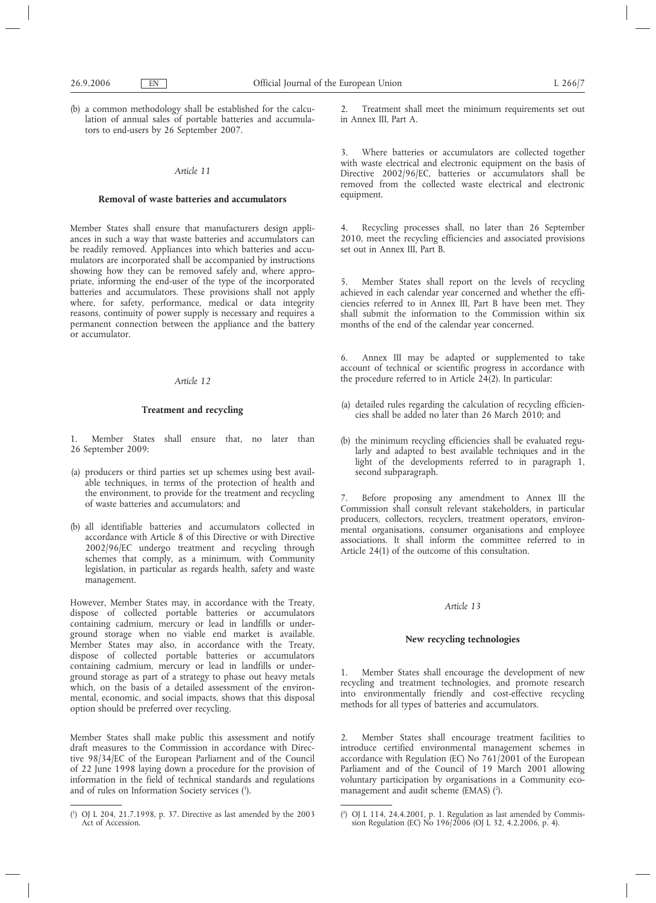(b) a common methodology shall be established for the calculation of annual sales of portable batteries and accumulators to end-users by 26 September 2007.

# *Article 11*

# **Removal of waste batteries and accumulators**

Member States shall ensure that manufacturers design appliances in such a way that waste batteries and accumulators can be readily removed. Appliances into which batteries and accumulators are incorporated shall be accompanied by instructions showing how they can be removed safely and, where appropriate, informing the end-user of the type of the incorporated batteries and accumulators. These provisions shall not apply where, for safety, performance, medical or data integrity reasons, continuity of power supply is necessary and requires a permanent connection between the appliance and the battery or accumulator.

#### *Article 12*

# **Treatment and recycling**

- 1. Member States shall ensure that, no later than 26 September 2009:
- (a) producers or third parties set up schemes using best available techniques, in terms of the protection of health and the environment, to provide for the treatment and recycling of waste batteries and accumulators; and
- (b) all identifiable batteries and accumulators collected in accordance with Article 8 of this Directive or with Directive 2002/96/EC undergo treatment and recycling through schemes that comply, as a minimum, with Community legislation, in particular as regards health, safety and waste management.

However, Member States may, in accordance with the Treaty, dispose of collected portable batteries or accumulators containing cadmium, mercury or lead in landfills or underground storage when no viable end market is available. Member States may also, in accordance with the Treaty, dispose of collected portable batteries or accumulators containing cadmium, mercury or lead in landfills or underground storage as part of a strategy to phase out heavy metals which, on the basis of a detailed assessment of the environmental, economic, and social impacts, shows that this disposal option should be preferred over recycling.

Member States shall make public this assessment and notify draft measures to the Commission in accordance with Directive 98/34/EC of the European Parliament and of the Council of 22 June 1998 laying down a procedure for the provision of information in the field of technical standards and regulations and of rules on Information Society services (1).

2. Treatment shall meet the minimum requirements set out in Annex III, Part A.

3. Where batteries or accumulators are collected together with waste electrical and electronic equipment on the basis of Directive 2002/96/EC, batteries or accumulators shall be removed from the collected waste electrical and electronic equipment.

4. Recycling processes shall, no later than 26 September 2010, meet the recycling efficiencies and associated provisions set out in Annex III. Part B.

5. Member States shall report on the levels of recycling achieved in each calendar year concerned and whether the efficiencies referred to in Annex III, Part B have been met. They shall submit the information to the Commission within six months of the end of the calendar year concerned.

6. Annex III may be adapted or supplemented to take account of technical or scientific progress in accordance with the procedure referred to in Article  $24(2)$ . In particular:

- (a) detailed rules regarding the calculation of recycling efficiencies shall be added no later than 26 March 2010; and
- (b) the minimum recycling efficiencies shall be evaluated regularly and adapted to best available techniques and in the light of the developments referred to in paragraph 1, second subparagraph.

7. Before proposing any amendment to Annex III the Commission shall consult relevant stakeholders, in particular producers, collectors, recyclers, treatment operators, environmental organisations, consumer organisations and employee associations. It shall inform the committee referred to in Article 24(1) of the outcome of this consultation.

#### *Article 13*

# **New recycling technologies**

1. Member States shall encourage the development of new recycling and treatment technologies, and promote research into environmentally friendly and cost-effective recycling methods for all types of batteries and accumulators.

2. Member States shall encourage treatment facilities to introduce certified environmental management schemes in accordance with Regulation (EC) No 761/2001 of the European Parliament and of the Council of 19 March 2001 allowing voluntary participation by organisations in a Community ecomanagement and audit scheme (EMAS) (2).

<sup>(</sup> 1 ) OJ L 204, 21.7.1998, p. 37. Directive as last amended by the 2003 Act of Accession.

<sup>(</sup> 2 ) OJ L 114, 24.4.2001, p. 1. Regulation as last amended by Commission Regulation (EC) No 196/2006 (OJ L 32, 4.2.2006, p. 4).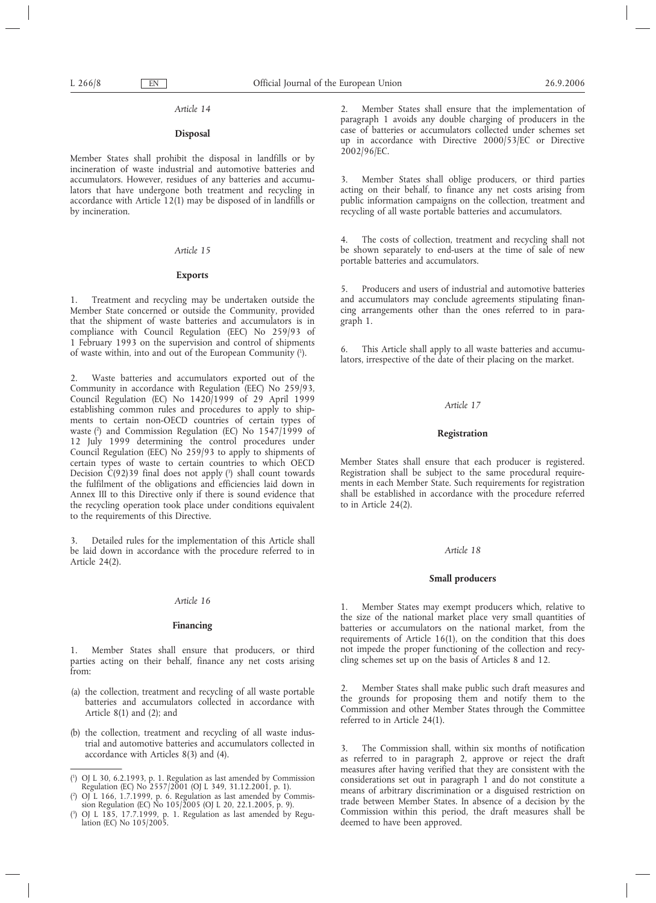# **Disposal**

Member States shall prohibit the disposal in landfills or by incineration of waste industrial and automotive batteries and accumulators. However, residues of any batteries and accumulators that have undergone both treatment and recycling in accordance with Article 12(1) may be disposed of in landfills or by incineration.

#### *Article 15*

# **Exports**

1. Treatment and recycling may be undertaken outside the Member State concerned or outside the Community, provided that the shipment of waste batteries and accumulators is in compliance with Council Regulation (EEC) No 259/93 of 1 February 1993 on the supervision and control of shipments of waste within, into and out of the European Community (1 ).

2. Waste batteries and accumulators exported out of the Community in accordance with Regulation (EEC) No 259/93, Council Regulation (EC) No 1420/1999 of 29 April 1999 establishing common rules and procedures to apply to shipments to certain non-OECD countries of certain types of waste (2) and Commission Regulation (EC) No 1547/1999 of 12 July 1999 determining the control procedures under Council Regulation (EEC) No 259/93 to apply to shipments of certain types of waste to certain countries to which OECD Decision C(92)39 final does not apply (3) shall count towards the fulfilment of the obligations and efficiencies laid down in Annex III to this Directive only if there is sound evidence that the recycling operation took place under conditions equivalent to the requirements of this Directive.

Detailed rules for the implementation of this Article shall be laid down in accordance with the procedure referred to in Article 24(2).

#### *Article 16*

# **Financing**

1. Member States shall ensure that producers, or third parties acting on their behalf, finance any net costs arising from:

- (a) the collection, treatment and recycling of all waste portable batteries and accumulators collected in accordance with Article 8(1) and (2); and
- (b) the collection, treatment and recycling of all waste industrial and automotive batteries and accumulators collected in accordance with Articles 8(3) and (4).

2. Member States shall ensure that the implementation of paragraph 1 avoids any double charging of producers in the case of batteries or accumulators collected under schemes set up in accordance with Directive 2000/53/EC or Directive 2002/96/EC.

3. Member States shall oblige producers, or third parties acting on their behalf, to finance any net costs arising from public information campaigns on the collection, treatment and recycling of all waste portable batteries and accumulators.

4. The costs of collection, treatment and recycling shall not be shown separately to end-users at the time of sale of new portable batteries and accumulators.

5. Producers and users of industrial and automotive batteries and accumulators may conclude agreements stipulating financing arrangements other than the ones referred to in paragraph 1.

This Article shall apply to all waste batteries and accumulators, irrespective of the date of their placing on the market.

#### *Article 17*

# **Registration**

Member States shall ensure that each producer is registered. Registration shall be subject to the same procedural requirements in each Member State. Such requirements for registration shall be established in accordance with the procedure referred to in Article 24(2).

# *Article 18*

# **Small producers**

1. Member States may exempt producers which, relative to the size of the national market place very small quantities of batteries or accumulators on the national market, from the requirements of Article 16(1), on the condition that this does not impede the proper functioning of the collection and recycling schemes set up on the basis of Articles 8 and 12.

2. Member States shall make public such draft measures and the grounds for proposing them and notify them to the Commission and other Member States through the Committee referred to in Article 24(1).

3. The Commission shall, within six months of notification as referred to in paragraph 2, approve or reject the draft measures after having verified that they are consistent with the considerations set out in paragraph 1 and do not constitute a means of arbitrary discrimination or a disguised restriction on trade between Member States. In absence of a decision by the Commission within this period, the draft measures shall be deemed to have been approved.

<sup>(</sup> 1 ) OJ L 30, 6.2.1993, p. 1. Regulation as last amended by Commission Regulation (EC) No 2557/2001 (OJ L 349, 31.12.2001, p. 1).

<sup>(</sup> 2 ) OJ L 166, 1.7.1999, p. 6. Regulation as last amended by Commission Regulation (EC) No 105/2005 (OJ L 20, 22.1.2005, p. 9).

<sup>(</sup> 3 ) OJ L 185, 17.7.1999, p. 1. Regulation as last amended by Regulation (EC) No 105/2005.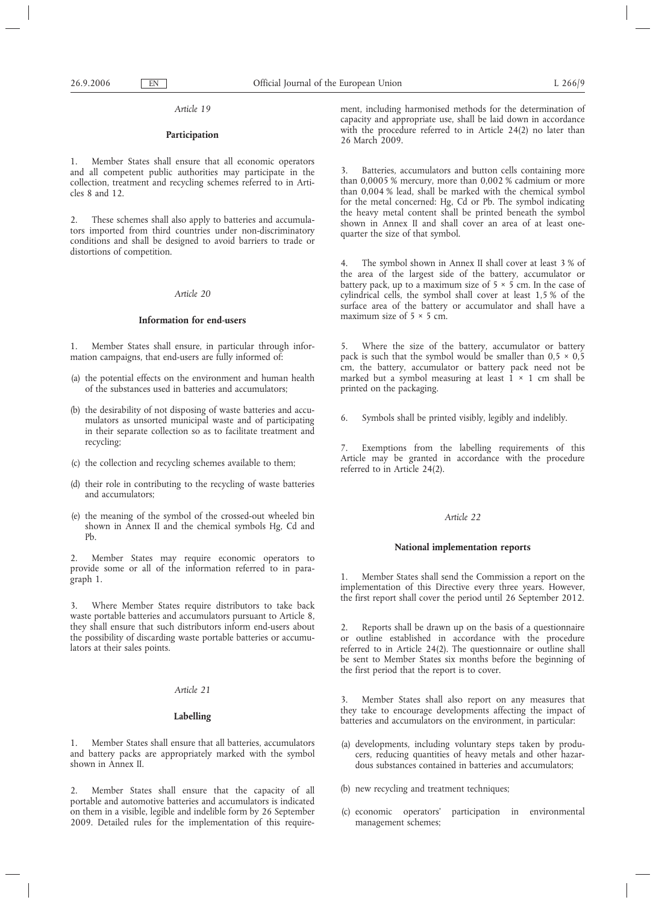# **Participation**

1. Member States shall ensure that all economic operators and all competent public authorities may participate in the collection, treatment and recycling schemes referred to in Articles 8 and 12.

2. These schemes shall also apply to batteries and accumulators imported from third countries under non-discriminatory conditions and shall be designed to avoid barriers to trade or distortions of competition.

### *Article 20*

# **Information for end-users**

1. Member States shall ensure, in particular through information campaigns, that end-users are fully informed of:

- (a) the potential effects on the environment and human health of the substances used in batteries and accumulators;
- (b) the desirability of not disposing of waste batteries and accumulators as unsorted municipal waste and of participating in their separate collection so as to facilitate treatment and recycling;
- (c) the collection and recycling schemes available to them;
- (d) their role in contributing to the recycling of waste batteries and accumulators;
- (e) the meaning of the symbol of the crossed-out wheeled bin shown in Annex II and the chemical symbols Hg, Cd and Pb.

2. Member States may require economic operators to provide some or all of the information referred to in paragraph 1.

3. Where Member States require distributors to take back waste portable batteries and accumulators pursuant to Article 8, they shall ensure that such distributors inform end-users about the possibility of discarding waste portable batteries or accumulators at their sales points.

#### *Article 21*

# **Labelling**

1. Member States shall ensure that all batteries, accumulators and battery packs are appropriately marked with the symbol shown in Annex II.

2. Member States shall ensure that the capacity of all portable and automotive batteries and accumulators is indicated on them in a visible, legible and indelible form by 26 September 2009. Detailed rules for the implementation of this requirement, including harmonised methods for the determination of capacity and appropriate use, shall be laid down in accordance with the procedure referred to in Article 24(2) no later than 26 March 2009.

3. Batteries, accumulators and button cells containing more than 0,0005 % mercury, more than 0,002 % cadmium or more than 0,004 % lead, shall be marked with the chemical symbol for the metal concerned: Hg, Cd or Pb. The symbol indicating the heavy metal content shall be printed beneath the symbol shown in Annex II and shall cover an area of at least onequarter the size of that symbol.

4. The symbol shown in Annex II shall cover at least 3 % of the area of the largest side of the battery, accumulator or battery pack, up to a maximum size of  $5 \times 5$  cm. In the case of cylindrical cells, the symbol shall cover at least 1,5 % of the surface area of the battery or accumulator and shall have a maximum size of  $5 \times 5$  cm.

5. Where the size of the battery, accumulator or battery pack is such that the symbol would be smaller than  $0.5 \times 0.5$ cm, the battery, accumulator or battery pack need not be marked but a symbol measuring at least  $1 \times 1$  cm shall be printed on the packaging.

6. Symbols shall be printed visibly, legibly and indelibly.

7. Exemptions from the labelling requirements of this Article may be granted in accordance with the procedure referred to in Article 24(2).

# *Article 22*

# **National implementation reports**

1. Member States shall send the Commission a report on the implementation of this Directive every three years. However, the first report shall cover the period until 26 September 2012.

2. Reports shall be drawn up on the basis of a questionnaire or outline established in accordance with the procedure referred to in Article 24(2). The questionnaire or outline shall be sent to Member States six months before the beginning of the first period that the report is to cover.

3. Member States shall also report on any measures that they take to encourage developments affecting the impact of batteries and accumulators on the environment, in particular:

- (a) developments, including voluntary steps taken by producers, reducing quantities of heavy metals and other hazardous substances contained in batteries and accumulators;
- (b) new recycling and treatment techniques;
- (c) economic operators' participation in environmental management schemes;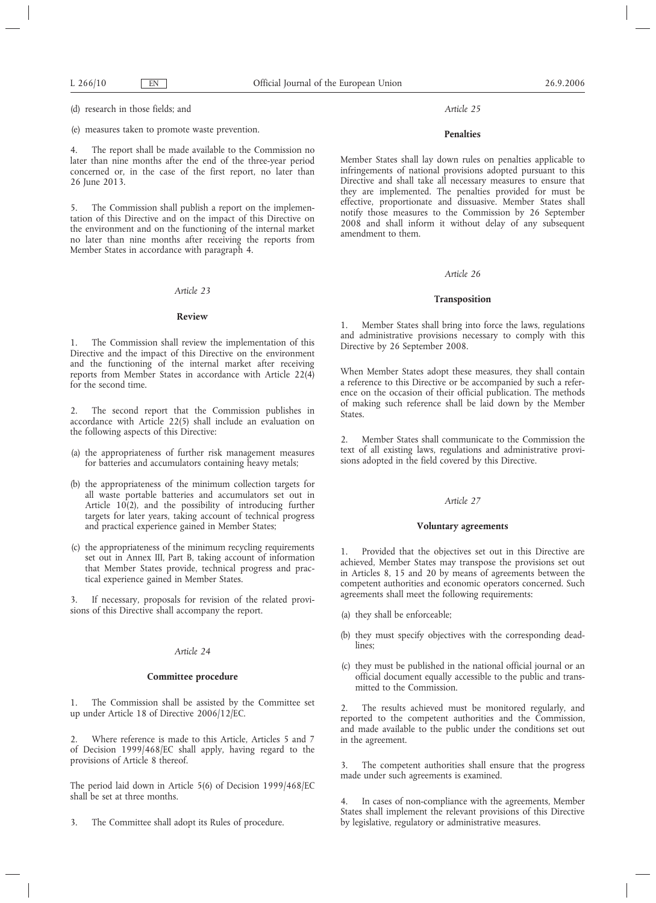(d) research in those fields; and

(e) measures taken to promote waste prevention.

4. The report shall be made available to the Commission no later than nine months after the end of the three-year period concerned or, in the case of the first report, no later than 26 June 2013.

5. The Commission shall publish a report on the implementation of this Directive and on the impact of this Directive on the environment and on the functioning of the internal market no later than nine months after receiving the reports from Member States in accordance with paragraph 4.

# *Article 23*

# **Review**

1. The Commission shall review the implementation of this Directive and the impact of this Directive on the environment and the functioning of the internal market after receiving reports from Member States in accordance with Article 22(4) for the second time.

2. The second report that the Commission publishes in accordance with Article 22(5) shall include an evaluation on the following aspects of this Directive:

- (a) the appropriateness of further risk management measures for batteries and accumulators containing heavy metals;
- (b) the appropriateness of the minimum collection targets for all waste portable batteries and accumulators set out in Article 10(2), and the possibility of introducing further targets for later years, taking account of technical progress and practical experience gained in Member States;
- (c) the appropriateness of the minimum recycling requirements set out in Annex III, Part B, taking account of information that Member States provide, technical progress and practical experience gained in Member States.

3. If necessary, proposals for revision of the related provisions of this Directive shall accompany the report.

# *Article 24*

# **Committee procedure**

1. The Commission shall be assisted by the Committee set up under Article 18 of Directive 2006/12/EC.

2. Where reference is made to this Article, Articles 5 and 7 of Decision 1999/468/EC shall apply, having regard to the provisions of Article 8 thereof.

The period laid down in Article 5(6) of Decision 1999/468/EC shall be set at three months.

3. The Committee shall adopt its Rules of procedure.

#### *Article 25*

# **Penalties**

Member States shall lay down rules on penalties applicable to infringements of national provisions adopted pursuant to this Directive and shall take all necessary measures to ensure that they are implemented. The penalties provided for must be effective, proportionate and dissuasive. Member States shall notify those measures to the Commission by 26 September 2008 and shall inform it without delay of any subsequent amendment to them.

### *Article 26*

#### **Transposition**

1. Member States shall bring into force the laws, regulations and administrative provisions necessary to comply with this Directive by 26 September 2008.

When Member States adopt these measures, they shall contain a reference to this Directive or be accompanied by such a reference on the occasion of their official publication. The methods of making such reference shall be laid down by the Member States.

2. Member States shall communicate to the Commission the text of all existing laws, regulations and administrative provisions adopted in the field covered by this Directive.

#### *Article 27*

# **Voluntary agreements**

1. Provided that the objectives set out in this Directive are achieved, Member States may transpose the provisions set out in Articles 8, 15 and 20 by means of agreements between the competent authorities and economic operators concerned. Such agreements shall meet the following requirements:

- (a) they shall be enforceable;
- (b) they must specify objectives with the corresponding deadlines;
- (c) they must be published in the national official journal or an official document equally accessible to the public and transmitted to the Commission.

The results achieved must be monitored regularly, and reported to the competent authorities and the Commission, and made available to the public under the conditions set out in the agreement.

3. The competent authorities shall ensure that the progress made under such agreements is examined.

4. In cases of non-compliance with the agreements, Member States shall implement the relevant provisions of this Directive by legislative, regulatory or administrative measures.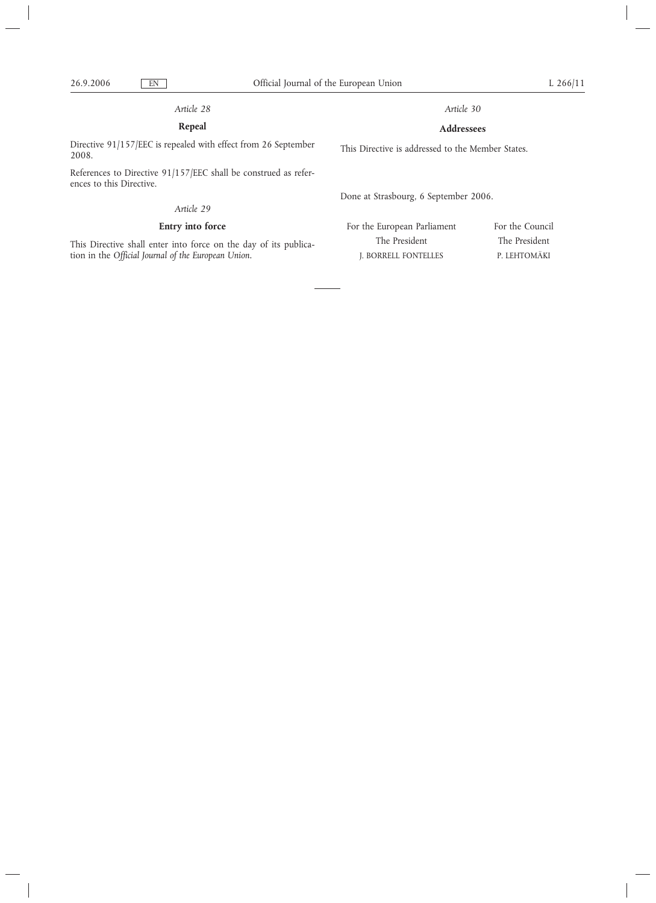# **Repeal**

Directive 91/157/EEC is repealed with effect from 26 September 2008.

References to Directive 91/157/EEC shall be construed as references to this Directive.

# *Article 29*

# **Entry into force**

This Directive shall enter into force on the day of its publication in the *Official Journal of the European Union.*

*Article 30*

# **Addressees**

This Directive is addressed to the Member States.

Done at Strasbourg, 6 September 2006.

For the European Parliament The President J. BORRELL FONTELLES

For the Council The President P. LEHTOMÄKI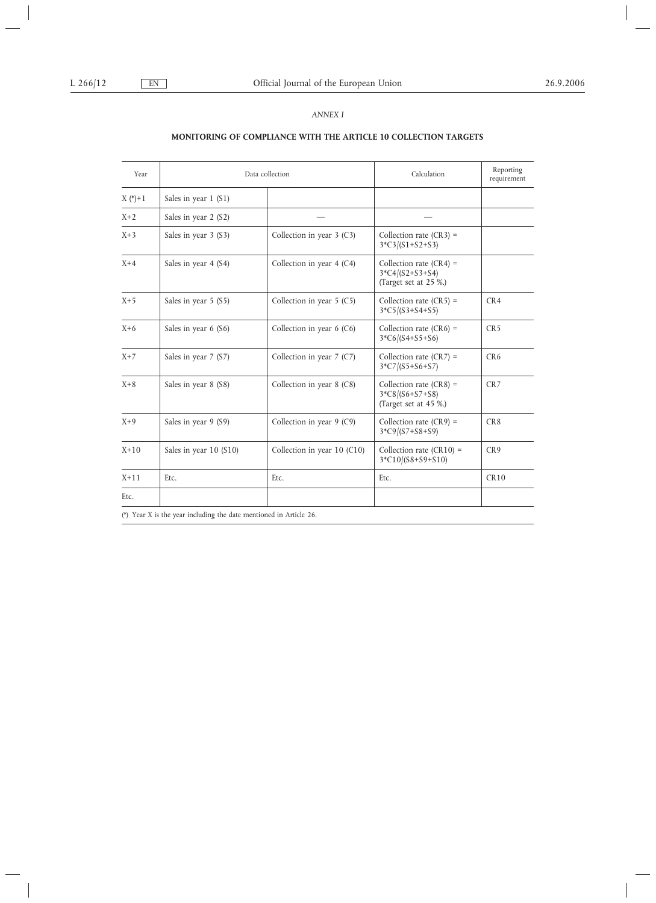# *ANNEX I*

# **MONITORING OF COMPLIANCE WITH THE ARTICLE 10 COLLECTION TARGETS**

| Year        | Data collection        |                               | Calculation                                                             | Reporting<br>requirement |
|-------------|------------------------|-------------------------------|-------------------------------------------------------------------------|--------------------------|
| $X (*) + 1$ | Sales in year $1(S1)$  |                               |                                                                         |                          |
| $X+2$       | Sales in year 2 (S2)   |                               |                                                                         |                          |
| $X+3$       | Sales in year 3 (S3)   | Collection in year $3$ (C3)   | Collection rate $(CR3)$ =<br>$3*C3/(S1+S2+S3)$                          |                          |
| $X+4$       | Sales in year 4 (S4)   | Collection in year $4$ (C4)   | Collection rate $(CR4)$ =<br>$3*C4/(S2+S3+S4)$<br>(Target set at 25 %.) |                          |
| $X+5$       | Sales in year $5 (S5)$ | Collection in year $5$ (C5)   | Collection rate $(CR5)$ =<br>$3*C5/(S3+S4+S5)$                          | CR4                      |
| $X+6$       | Sales in year $6$ (S6) | Collection in year $6$ (C6)   | Collection rate $(CR6)$ =<br>$3*C6/(S4+S5+S6)$                          | CR <sub>5</sub>          |
| $X+7$       | Sales in year $7 (S7)$ | Collection in year $7$ (C7)   | Collection rate $(CR7) =$<br>$3*C7/(S5+S6+S7)$                          | CR <sub>6</sub>          |
| $X+8$       | Sales in year 8 (S8)   | Collection in year $8$ (C8)   | Collection rate $(CR8)$ =<br>$3*C8/(S6+S7+S8)$<br>(Target set at 45 %.) | CR <sub>7</sub>          |
| $X+9$       | Sales in year 9 (S9)   | Collection in year $9$ (C9)   | Collection rate $(CR9)$ =<br>$3*C9/(S7+S8+S9)$                          | CR <sub>8</sub>          |
| $X+10$      | Sales in year 10 (S10) | Collection in year $10$ (C10) | Collection rate $(CR10)$ =<br>$3*C10/(S8+S9+S10)$                       | CR9                      |
| $X+11$      | Etc.                   | Etc.                          | Etc.                                                                    | CR10                     |
| Etc.        |                        |                               |                                                                         |                          |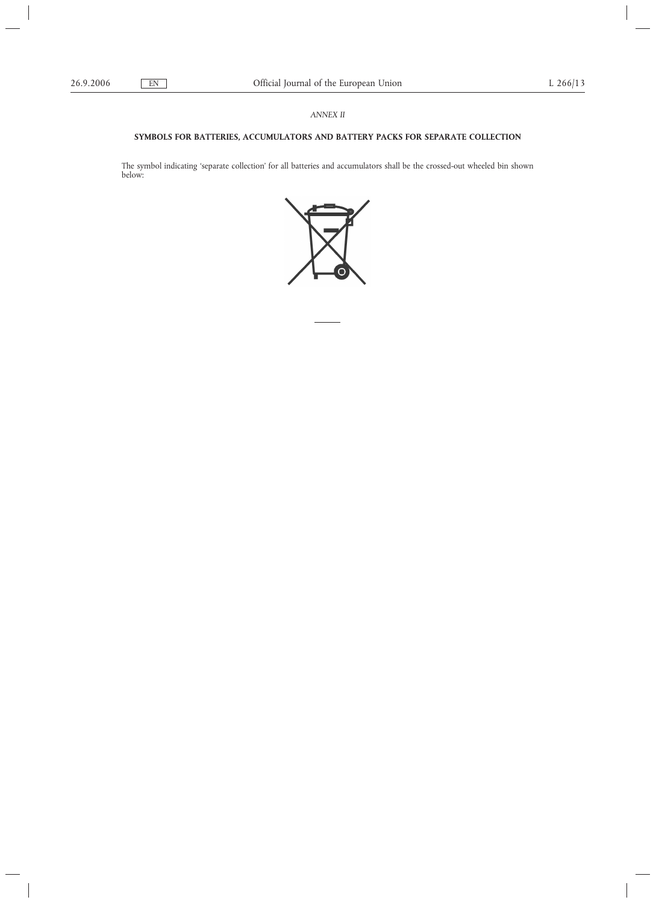# *ANNEX II*

# **SYMBOLS FOR BATTERIES, ACCUMULATORS AND BATTERY PACKS FOR SEPARATE COLLECTION**

The symbol indicating 'separate collection' for all batteries and accumulators shall be the crossed-out wheeled bin shown below: